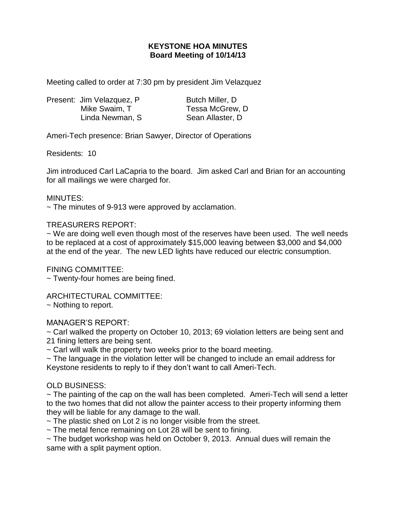# **KEYSTONE HOA MINUTES Board Meeting of 10/14/13**

Meeting called to order at 7:30 pm by president Jim Velazquez

|  | Present: Jim Velazquez, P | Butch Miller, D. |
|--|---------------------------|------------------|
|  | Mike Swaim, T             | Tessa McGrew, D  |
|  | Linda Newman, S           | Sean Allaster, D |

Ameri-Tech presence: Brian Sawyer, Director of Operations

Residents: 10

Jim introduced Carl LaCapria to the board. Jim asked Carl and Brian for an accounting for all mailings we were charged for.

#### MINUTES:

 $\sim$  The minutes of 9-913 were approved by acclamation.

### TREASURERS REPORT:

 $\sim$  We are doing well even though most of the reserves have been used. The well needs to be replaced at a cost of approximately \$15,000 leaving between \$3,000 and \$4,000 at the end of the year. The new LED lights have reduced our electric consumption.

FINING COMMITTEE:

~ Twenty-four homes are being fined.

ARCHITECTURAL COMMITTEE:

~ Nothing to report.

## MANAGER'S REPORT:

 $\sim$  Carl walked the property on October 10, 2013; 69 violation letters are being sent and 21 fining letters are being sent.

 $\sim$  Carl will walk the property two weeks prior to the board meeting.

~ The language in the violation letter will be changed to include an email address for Keystone residents to reply to if they don't want to call Ameri-Tech.

## OLD BUSINESS:

~ The painting of the cap on the wall has been completed. Ameri-Tech will send a letter to the two homes that did not allow the painter access to their property informing them they will be liable for any damage to the wall.

 $\sim$  The plastic shed on Lot 2 is no longer visible from the street.

~ The metal fence remaining on Lot 28 will be sent to fining.

 $\sim$  The budget workshop was held on October 9, 2013. Annual dues will remain the same with a split payment option.